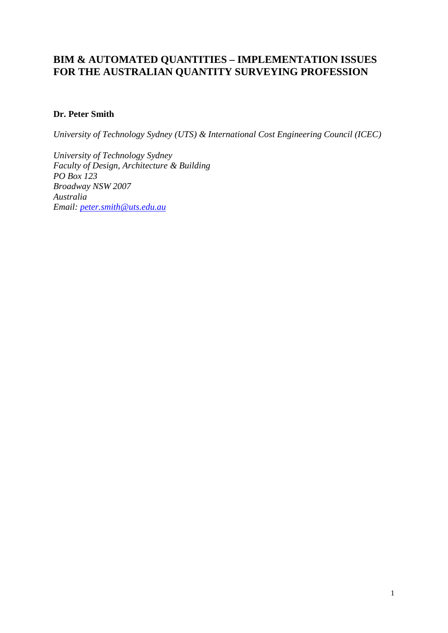# **BIM & AUTOMATED QUANTITIES – IMPLEMENTATION ISSUES FOR THE AUSTRALIAN QUANTITY SURVEYING PROFESSION**

## **Dr. Peter Smith**

*University of Technology Sydney (UTS) & International Cost Engineering Council (ICEC)*

*University of Technology Sydney Faculty of Design, Architecture & Building PO Box 123 Broadway NSW 2007 Australia Email: [peter.smith@uts.edu.au](mailto:peter.smith@uts.edu.au)*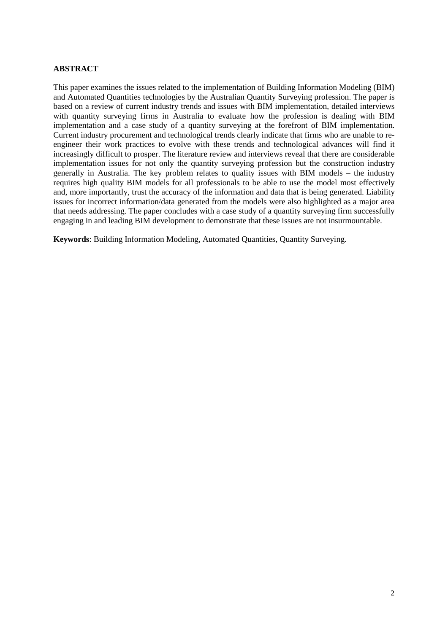### **ABSTRACT**

This paper examines the issues related to the implementation of Building Information Modeling (BIM) and Automated Quantities technologies by the Australian Quantity Surveying profession. The paper is based on a review of current industry trends and issues with BIM implementation, detailed interviews with quantity surveying firms in Australia to evaluate how the profession is dealing with BIM implementation and a case study of a quantity surveying at the forefront of BIM implementation. Current industry procurement and technological trends clearly indicate that firms who are unable to reengineer their work practices to evolve with these trends and technological advances will find it increasingly difficult to prosper. The literature review and interviews reveal that there are considerable implementation issues for not only the quantity surveying profession but the construction industry generally in Australia. The key problem relates to quality issues with BIM models – the industry requires high quality BIM models for all professionals to be able to use the model most effectively and, more importantly, trust the accuracy of the information and data that is being generated. Liability issues for incorrect information/data generated from the models were also highlighted as a major area that needs addressing. The paper concludes with a case study of a quantity surveying firm successfully engaging in and leading BIM development to demonstrate that these issues are not insurmountable.

**Keywords**: Building Information Modeling, Automated Quantities, Quantity Surveying.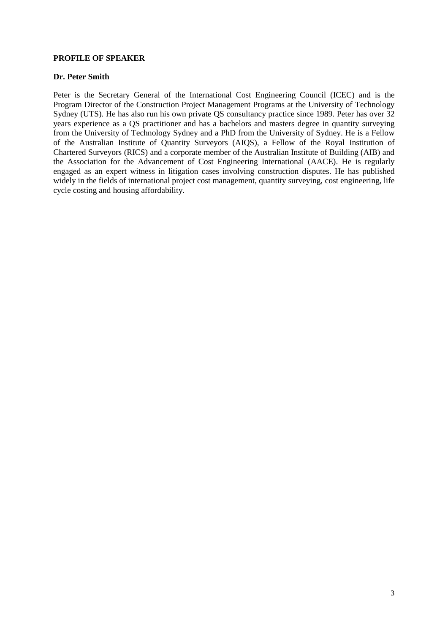### **PROFILE OF SPEAKER**

### **Dr. Peter Smith**

Peter is the Secretary General of the International Cost Engineering Council (ICEC) and is the Program Director of the Construction Project Management Programs at the University of Technology Sydney (UTS). He has also run his own private QS consultancy practice since 1989. Peter has over 32 years experience as a QS practitioner and has a bachelors and masters degree in quantity surveying from the University of Technology Sydney and a PhD from the University of Sydney. He is a Fellow of the Australian Institute of Quantity Surveyors (AIQS), a Fellow of the Royal Institution of Chartered Surveyors (RICS) and a corporate member of the Australian Institute of Building (AIB) and the Association for the Advancement of Cost Engineering International (AACE). He is regularly engaged as an expert witness in litigation cases involving construction disputes. He has published widely in the fields of international project cost management, quantity surveying, cost engineering, life cycle costing and housing affordability.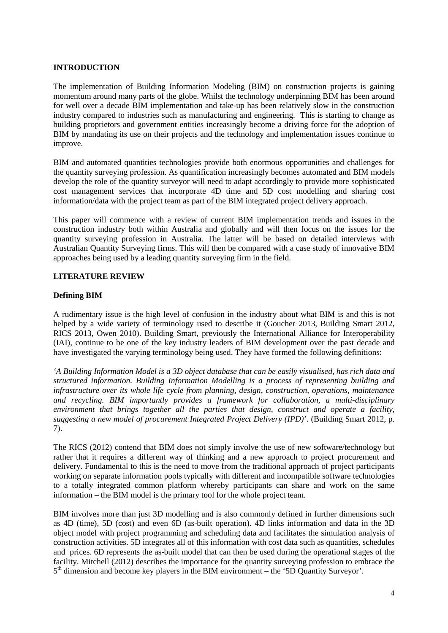### **INTRODUCTION**

The implementation of Building Information Modeling (BIM) on construction projects is gaining momentum around many parts of the globe. Whilst the technology underpinning BIM has been around for well over a decade BIM implementation and take-up has been relatively slow in the construction industry compared to industries such as manufacturing and engineering. This is starting to change as building proprietors and government entities increasingly become a driving force for the adoption of BIM by mandating its use on their projects and the technology and implementation issues continue to improve.

BIM and automated quantities technologies provide both enormous opportunities and challenges for the quantity surveying profession. As quantification increasingly becomes automated and BIM models develop the role of the quantity surveyor will need to adapt accordingly to provide more sophisticated cost management services that incorporate 4D time and 5D cost modelling and sharing cost information/data with the project team as part of the BIM integrated project delivery approach.

This paper will commence with a review of current BIM implementation trends and issues in the construction industry both within Australia and globally and will then focus on the issues for the quantity surveying profession in Australia. The latter will be based on detailed interviews with Australian Quantity Surveying firms. This will then be compared with a case study of innovative BIM approaches being used by a leading quantity surveying firm in the field.

### **LITERATURE REVIEW**

#### **Defining BIM**

A rudimentary issue is the high level of confusion in the industry about what BIM is and this is not helped by a wide variety of terminology used to describe it (Goucher 2013, Building Smart 2012, RICS 2013, Owen 2010). Building Smart, previously the International Alliance for Interoperability (IAI), continue to be one of the key industry leaders of BIM development over the past decade and have investigated the varying terminology being used. They have formed the following definitions:

*'A Building Information Model is a 3D object database that can be easily visualised, has rich data and structured information. Building Information Modelling is a process of representing building and infrastructure over its whole life cycle from planning, design, construction, operations, maintenance and recycling. BIM importantly provides a framework for collaboration, a multi-disciplinary environment that brings together all the parties that design, construct and operate a facility, suggesting a new model of procurement Integrated Project Delivery (IPD)'*. (Building Smart 2012, p. 7).

The RICS (2012) contend that BIM does not simply involve the use of new software/technology but rather that it requires a different way of thinking and a new approach to project procurement and delivery. Fundamental to this is the need to move from the traditional approach of project participants working on separate information pools typically with different and incompatible software technologies to a totally integrated common platform whereby participants can share and work on the same information – the BIM model is the primary tool for the whole project team.

BIM involves more than just 3D modelling and is also commonly defined in further dimensions such as 4D (time), 5D (cost) and even 6D (as-built operation). 4D links information and data in the 3D object model with project programming and scheduling data and facilitates the simulation analysis of construction activities. 5D integrates all of this information with cost data such as quantities, schedules and prices. 6D represents the as-built model that can then be used during the operational stages of the facility. Mitchell (2012) describes the importance for the quantity surveying profession to embrace the  $5<sup>th</sup>$  dimension and become key players in the BIM environment – the '5D Quantity Surveyor'.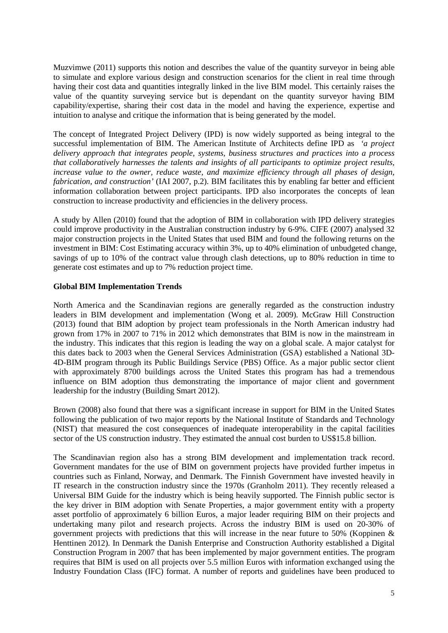Muzvimwe (2011) supports this notion and describes the value of the quantity surveyor in being able to simulate and explore various design and construction scenarios for the client in real time through having their cost data and quantities integrally linked in the live BIM model. This certainly raises the value of the quantity surveying service but is dependant on the quantity surveyor having BIM capability/expertise, sharing their cost data in the model and having the experience, expertise and intuition to analyse and critique the information that is being generated by the model.

The concept of Integrated Project Delivery (IPD) is now widely supported as being integral to the successful implementation of BIM. The American Institute of Architects define IPD as *'a project delivery approach that integrates people, systems, business structures and practices into a process that collaboratively harnesses the talents and insights of all participants to optimize project results, increase value to the owner, reduce waste, and maximize efficiency through all phases of design, fabrication, and construction'* (IAI 2007, p.2). BIM facilitates this by enabling far better and efficient information collaboration between project participants. IPD also incorporates the concepts of lean construction to increase productivity and efficiencies in the delivery process.

A study by Allen (2010) found that the adoption of BIM in collaboration with IPD delivery strategies could improve productivity in the Australian construction industry by 6-9%. CIFE (2007) analysed 32 major construction projects in the United States that used BIM and found the following returns on the investment in BIM: Cost Estimating accuracy within 3%, up to 40% elimination of unbudgeted change, savings of up to 10% of the contract value through clash detections, up to 80% reduction in time to generate cost estimates and up to 7% reduction project time.

### **Global BIM Implementation Trends**

North America and the Scandinavian regions are generally regarded as the construction industry leaders in BIM development and implementation (Wong et al. 2009). McGraw Hill Construction (2013) found that BIM adoption by project team professionals in the North American industry had grown from 17% in 2007 to 71% in 2012 which demonstrates that BIM is now in the mainstream in the industry. This indicates that this region is leading the way on a global scale. A major catalyst for this dates back to 2003 when the General Services Administration (GSA) established a National 3D-4D-BIM program through its Public Buildings Service (PBS) Office. As a major public sector client with approximately 8700 buildings across the United States this program has had a tremendous influence on BIM adoption thus demonstrating the importance of major client and government leadership for the industry (Building Smart 2012).

Brown (2008) also found that there was a significant increase in support for BIM in the United States following the publication of two major reports by the National Institute of Standards and Technology (NIST) that measured the cost consequences of inadequate interoperability in the capital facilities sector of the US construction industry. They estimated the annual cost burden to US\$15.8 billion.

The Scandinavian region also has a strong BIM development and implementation track record. Government mandates for the use of BIM on government projects have provided further impetus in countries such as Finland, Norway, and Denmark. The Finnish Government have invested heavily in IT research in the construction industry since the 1970s (Granholm 2011). They recently released a Universal BIM Guide for the industry which is being heavily supported. The Finnish public sector is the key driver in BIM adoption with Senate Properties, a major government entity with a property asset portfolio of approximately 6 billion Euros, a major leader requiring BIM on their projects and undertaking many pilot and research projects. Across the industry BIM is used on 20-30% of government projects with predictions that this will increase in the near future to 50% (Koppinen & Henttinen 2012). In Denmark the Danish Enterprise and Construction Authority established a Digital Construction Program in 2007 that has been implemented by major government entities. The program requires that BIM is used on all projects over 5.5 million Euros with information exchanged using the Industry Foundation Class (IFC) format. A number of reports and guidelines have been produced to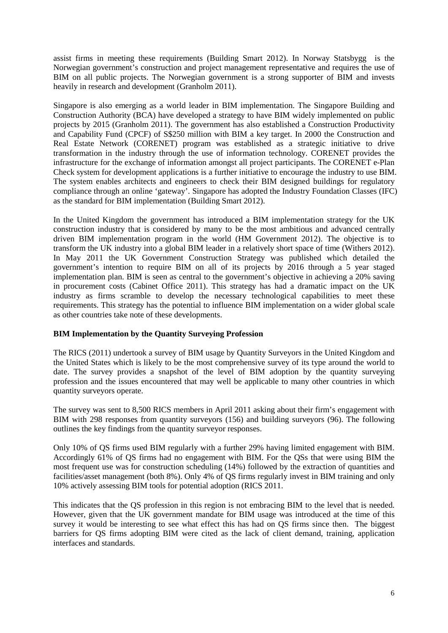assist firms in meeting these requirements (Building Smart 2012). In Norway Statsbygg is the Norwegian government's construction and project management representative and requires the use of BIM on all public projects. The Norwegian government is a strong supporter of BIM and invests heavily in research and development (Granholm 2011).

Singapore is also emerging as a world leader in BIM implementation. The Singapore Building and Construction Authority (BCA) have developed a strategy to have BIM widely implemented on public projects by 2015 (Granholm 2011). The government has also established a Construction Productivity and Capability Fund (CPCF) of S\$250 million with BIM a key target. In 2000 the Construction and Real Estate Network (CORENET) program was established as a strategic initiative to drive transformation in the industry through the use of information technology. CORENET provides the infrastructure for the exchange of information amongst all project participants. The CORENET e-Plan Check system for development applications is a further initiative to encourage the industry to use BIM. The system enables architects and engineers to check their BIM designed buildings for regulatory compliance through an online 'gateway'. Singapore has adopted the Industry Foundation Classes (IFC) as the standard for BIM implementation (Building Smart 2012).

In the United Kingdom the government has introduced a BIM implementation strategy for the UK construction industry that is considered by many to be the most ambitious and advanced centrally driven BIM implementation program in the world (HM Government 2012). The objective is to transform the UK industry into a global BIM leader in a relatively short space of time (Withers 2012). In May 2011 the UK Government Construction Strategy was published which detailed the government's intention to require BIM on all of its projects by 2016 through a 5 year staged implementation plan. BIM is seen as central to the government's objective in achieving a 20% saving in procurement costs (Cabinet Office 2011). This strategy has had a dramatic impact on the UK industry as firms scramble to develop the necessary technological capabilities to meet these requirements. This strategy has the potential to influence BIM implementation on a wider global scale as other countries take note of these developments.

### **BIM Implementation by the Quantity Surveying Profession**

The RICS (2011) undertook a survey of BIM usage by Quantity Surveyors in the United Kingdom and the United States which is likely to be the most comprehensive survey of its type around the world to date. The survey provides a snapshot of the level of BIM adoption by the quantity surveying profession and the issues encountered that may well be applicable to many other countries in which quantity surveyors operate.

The survey was sent to 8,500 RICS members in April 2011 asking about their firm's engagement with BIM with 298 responses from quantity surveyors (156) and building surveyors (96). The following outlines the key findings from the quantity surveyor responses.

Only 10% of QS firms used BIM regularly with a further 29% having limited engagement with BIM. Accordingly 61% of QS firms had no engagement with BIM. For the QSs that were using BIM the most frequent use was for construction scheduling (14%) followed by the extraction of quantities and facilities/asset management (both 8%). Only 4% of QS firms regularly invest in BIM training and only 10% actively assessing BIM tools for potential adoption (RICS 2011.

This indicates that the QS profession in this region is not embracing BIM to the level that is needed. However, given that the UK government mandate for BIM usage was introduced at the time of this survey it would be interesting to see what effect this has had on QS firms since then. The biggest barriers for QS firms adopting BIM were cited as the lack of client demand, training, application interfaces and standards.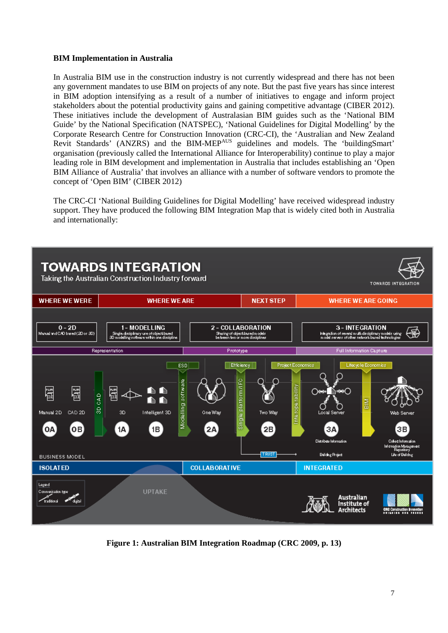### **BIM Implementation in Australia**

In Australia BIM use in the construction industry is not currently widespread and there has not been any government mandates to use BIM on projects of any note. But the past five years has since interest in BIM adoption intensifying as a result of a number of initiatives to engage and inform project stakeholders about the potential productivity gains and gaining competitive advantage (CIBER 2012). These initiatives include the development of Australasian BIM guides such as the 'National BIM Guide' by the National Specification (NATSPEC), 'National Guidelines for Digital Modelling' by the Corporate Research Centre for Construction Innovation (CRC-CI), the 'Australian and New Zealand Revit Standards' (ANZRS) and the BIM-MEP<sup>AUS</sup> guidelines and models. The 'buildingSmart' organisation (previously called the International Alliance for Interoperability) continue to play a major leading role in BIM development and implementation in Australia that includes establishing an 'Open BIM Alliance of Australia' that involves an alliance with a number of software vendors to promote the concept of 'Open BIM' (CIBER 2012)

The CRC-CI 'National Building Guidelines for Digital Modelling' have received widespread industry support. They have produced the following BIM Integration Map that is widely cited both in Australia and internationally:



**Figure 1: Australian BIM Integration Roadmap (CRC 2009, p. 13)**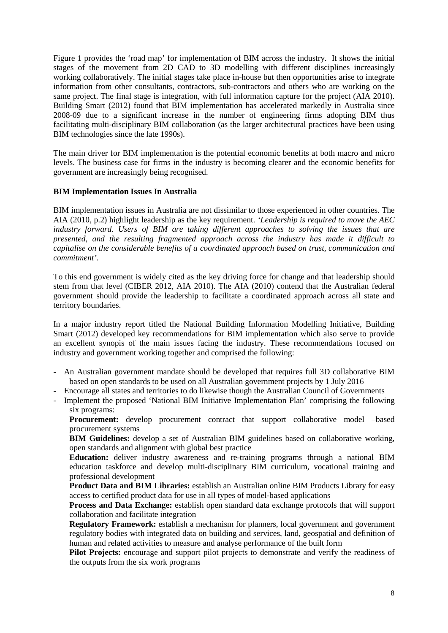Figure 1 provides the 'road map' for implementation of BIM across the industry. It shows the initial stages of the movement from 2D CAD to 3D modelling with different disciplines increasingly working collaboratively. The initial stages take place in-house but then opportunities arise to integrate information from other consultants, contractors, sub-contractors and others who are working on the same project. The final stage is integration, with full information capture for the project (AIA 2010). Building Smart (2012) found that BIM implementation has accelerated markedly in Australia since 2008-09 due to a significant increase in the number of engineering firms adopting BIM thus facilitating multi-disciplinary BIM collaboration (as the larger architectural practices have been using BIM technologies since the late 1990s).

The main driver for BIM implementation is the potential economic benefits at both macro and micro levels. The business case for firms in the industry is becoming clearer and the economic benefits for government are increasingly being recognised.

#### **BIM Implementation Issues In Australia**

BIM implementation issues in Australia are not dissimilar to those experienced in other countries. The AIA (2010, p.2) highlight leadership as the key requirement. *'Leadership is required to move the AEC industry forward. Users of BIM are taking different approaches to solving the issues that are presented, and the resulting fragmented approach across the industry has made it difficult to capitalise on the considerable benefits of a coordinated approach based on trust, communication and commitment'*.

To this end government is widely cited as the key driving force for change and that leadership should stem from that level (CIBER 2012, AIA 2010). The AIA (2010) contend that the Australian federal government should provide the leadership to facilitate a coordinated approach across all state and territory boundaries.

In a major industry report titled the National Building Information Modelling Initiative, Building Smart (2012) developed key recommendations for BIM implementation which also serve to provide an excellent synopis of the main issues facing the industry. These recommendations focused on industry and government working together and comprised the following:

- An Australian government mandate should be developed that requires full 3D collaborative BIM based on open standards to be used on all Australian government projects by 1 July 2016
	- Encourage all states and territories to do likewise though the Australian Council of Governments
- Implement the proposed 'National BIM Initiative Implementation Plan' comprising the following six programs:

**Procurement:** develop procurement contract that support collaborative model –based procurement systems

**BIM Guidelines:** develop a set of Australian BIM guidelines based on collaborative working, open standards and alignment with global best practice

**Education:** deliver industry awareness and re-training programs through a national BIM education taskforce and develop multi-disciplinary BIM curriculum, vocational training and professional development

**Product Data and BIM Libraries:** establish an Australian online BIM Products Library for easy access to certified product data for use in all types of model-based applications

**Process and Data Exchange:** establish open standard data exchange protocols that will support collaboration and facilitate integration

**Regulatory Framework:** establish a mechanism for planners, local government and government regulatory bodies with integrated data on building and services, land, geospatial and definition of human and related activities to measure and analyse performance of the built form

**Pilot Projects:** encourage and support pilot projects to demonstrate and verify the readiness of the outputs from the six work programs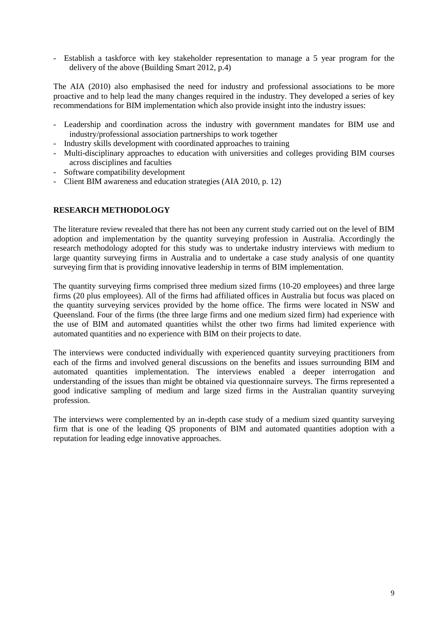- Establish a taskforce with key stakeholder representation to manage a 5 year program for the delivery of the above (Building Smart 2012, p.4)

The AIA (2010) also emphasised the need for industry and professional associations to be more proactive and to help lead the many changes required in the industry. They developed a series of key recommendations for BIM implementation which also provide insight into the industry issues:

- Leadership and coordination across the industry with government mandates for BIM use and industry/professional association partnerships to work together
- Industry skills development with coordinated approaches to training
- Multi-disciplinary approaches to education with universities and colleges providing BIM courses across disciplines and faculties
- Software compatibility development
- Client BIM awareness and education strategies (AIA 2010, p. 12)

### **RESEARCH METHODOLOGY**

The literature review revealed that there has not been any current study carried out on the level of BIM adoption and implementation by the quantity surveying profession in Australia. Accordingly the research methodology adopted for this study was to undertake industry interviews with medium to large quantity surveying firms in Australia and to undertake a case study analysis of one quantity surveying firm that is providing innovative leadership in terms of BIM implementation.

The quantity surveying firms comprised three medium sized firms (10-20 employees) and three large firms (20 plus employees). All of the firms had affiliated offices in Australia but focus was placed on the quantity surveying services provided by the home office. The firms were located in NSW and Queensland. Four of the firms (the three large firms and one medium sized firm) had experience with the use of BIM and automated quantities whilst the other two firms had limited experience with automated quantities and no experience with BIM on their projects to date.

The interviews were conducted individually with experienced quantity surveying practitioners from each of the firms and involved general discussions on the benefits and issues surrounding BIM and automated quantities implementation. The interviews enabled a deeper interrogation and understanding of the issues than might be obtained via questionnaire surveys. The firms represented a good indicative sampling of medium and large sized firms in the Australian quantity surveying profession.

The interviews were complemented by an in-depth case study of a medium sized quantity surveying firm that is one of the leading QS proponents of BIM and automated quantities adoption with a reputation for leading edge innovative approaches.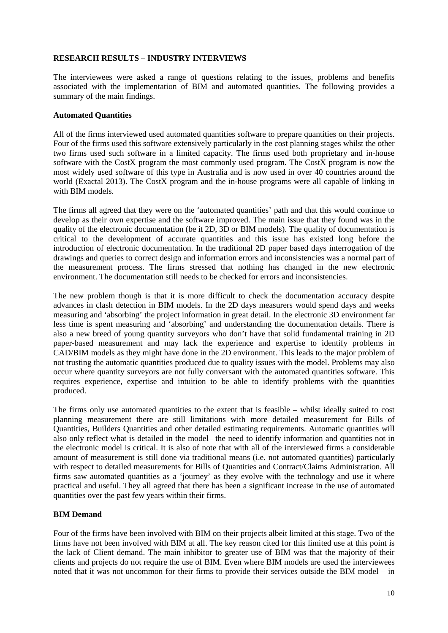### **RESEARCH RESULTS – INDUSTRY INTERVIEWS**

The interviewees were asked a range of questions relating to the issues, problems and benefits associated with the implementation of BIM and automated quantities. The following provides a summary of the main findings.

### **Automated Quantities**

All of the firms interviewed used automated quantities software to prepare quantities on their projects. Four of the firms used this software extensively particularly in the cost planning stages whilst the other two firms used such software in a limited capacity. The firms used both proprietary and in-house software with the CostX program the most commonly used program. The CostX program is now the most widely used software of this type in Australia and is now used in over 40 countries around the world (Exactal 2013). The CostX program and the in-house programs were all capable of linking in with BIM models.

The firms all agreed that they were on the 'automated quantities' path and that this would continue to develop as their own expertise and the software improved. The main issue that they found was in the quality of the electronic documentation (be it 2D, 3D or BIM models). The quality of documentation is critical to the development of accurate quantities and this issue has existed long before the introduction of electronic documentation. In the traditional 2D paper based days interrogation of the drawings and queries to correct design and information errors and inconsistencies was a normal part of the measurement process. The firms stressed that nothing has changed in the new electronic environment. The documentation still needs to be checked for errors and inconsistencies.

The new problem though is that it is more difficult to check the documentation accuracy despite advances in clash detection in BIM models. In the 2D days measurers would spend days and weeks measuring and 'absorbing' the project information in great detail. In the electronic 3D environment far less time is spent measuring and 'absorbing' and understanding the documentation details. There is also a new breed of young quantity surveyors who don't have that solid fundamental training in 2D paper-based measurement and may lack the experience and expertise to identify problems in CAD/BIM models as they might have done in the 2D environment. This leads to the major problem of not trusting the automatic quantities produced due to quality issues with the model. Problems may also occur where quantity surveyors are not fully conversant with the automated quantities software. This requires experience, expertise and intuition to be able to identify problems with the quantities produced.

The firms only use automated quantities to the extent that is feasible – whilst ideally suited to cost planning measurement there are still limitations with more detailed measurement for Bills of Quantities, Builders Quantities and other detailed estimating requirements. Automatic quantities will also only reflect what is detailed in the model– the need to identify information and quantities not in the electronic model is critical. It is also of note that with all of the interviewed firms a considerable amount of measurement is still done via traditional means (i.e. not automated quantities) particularly with respect to detailed measurements for Bills of Quantities and Contract/Claims Administration. All firms saw automated quantities as a 'journey' as they evolve with the technology and use it where practical and useful. They all agreed that there has been a significant increase in the use of automated quantities over the past few years within their firms.

### **BIM Demand**

Four of the firms have been involved with BIM on their projects albeit limited at this stage. Two of the firms have not been involved with BIM at all. The key reason cited for this limited use at this point is the lack of Client demand. The main inhibitor to greater use of BIM was that the majority of their clients and projects do not require the use of BIM. Even where BIM models are used the interviewees noted that it was not uncommon for their firms to provide their services outside the BIM model – in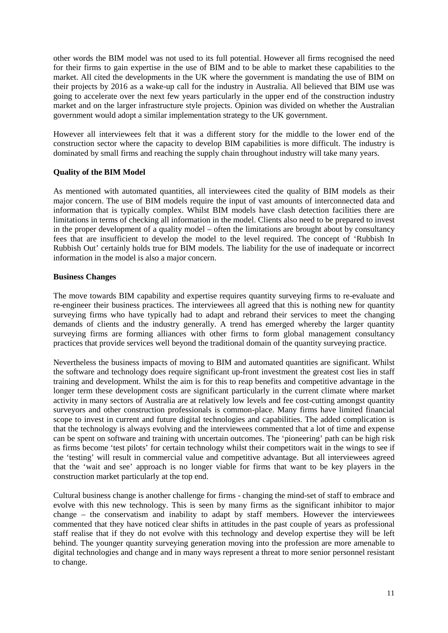other words the BIM model was not used to its full potential. However all firms recognised the need for their firms to gain expertise in the use of BIM and to be able to market these capabilities to the market. All cited the developments in the UK where the government is mandating the use of BIM on their projects by 2016 as a wake-up call for the industry in Australia. All believed that BIM use was going to accelerate over the next few years particularly in the upper end of the construction industry market and on the larger infrastructure style projects. Opinion was divided on whether the Australian government would adopt a similar implementation strategy to the UK government.

However all interviewees felt that it was a different story for the middle to the lower end of the construction sector where the capacity to develop BIM capabilities is more difficult. The industry is dominated by small firms and reaching the supply chain throughout industry will take many years.

### **Quality of the BIM Model**

As mentioned with automated quantities, all interviewees cited the quality of BIM models as their major concern. The use of BIM models require the input of vast amounts of interconnected data and information that is typically complex. Whilst BIM models have clash detection facilities there are limitations in terms of checking all information in the model. Clients also need to be prepared to invest in the proper development of a quality model – often the limitations are brought about by consultancy fees that are insufficient to develop the model to the level required. The concept of 'Rubbish In Rubbish Out' certainly holds true for BIM models. The liability for the use of inadequate or incorrect information in the model is also a major concern.

#### **Business Changes**

The move towards BIM capability and expertise requires quantity surveying firms to re-evaluate and re-engineer their business practices. The interviewees all agreed that this is nothing new for quantity surveying firms who have typically had to adapt and rebrand their services to meet the changing demands of clients and the industry generally. A trend has emerged whereby the larger quantity surveying firms are forming alliances with other firms to form global management consultancy practices that provide services well beyond the traditional domain of the quantity surveying practice.

Nevertheless the business impacts of moving to BIM and automated quantities are significant. Whilst the software and technology does require significant up-front investment the greatest cost lies in staff training and development. Whilst the aim is for this to reap benefits and competitive advantage in the longer term these development costs are significant particularly in the current climate where market activity in many sectors of Australia are at relatively low levels and fee cost-cutting amongst quantity surveyors and other construction professionals is common-place. Many firms have limited financial scope to invest in current and future digital technologies and capabilities. The added complication is that the technology is always evolving and the interviewees commented that a lot of time and expense can be spent on software and training with uncertain outcomes. The 'pioneering' path can be high risk as firms become 'test pilots' for certain technology whilst their competitors wait in the wings to see if the 'testing' will result in commercial value and competitive advantage. But all interviewees agreed that the 'wait and see' approach is no longer viable for firms that want to be key players in the construction market particularly at the top end.

Cultural business change is another challenge for firms - changing the mind-set of staff to embrace and evolve with this new technology. This is seen by many firms as the significant inhibitor to major change – the conservatism and inability to adapt by staff members. However the interviewees commented that they have noticed clear shifts in attitudes in the past couple of years as professional staff realise that if they do not evolve with this technology and develop expertise they will be left behind. The younger quantity surveying generation moving into the profession are more amenable to digital technologies and change and in many ways represent a threat to more senior personnel resistant to change.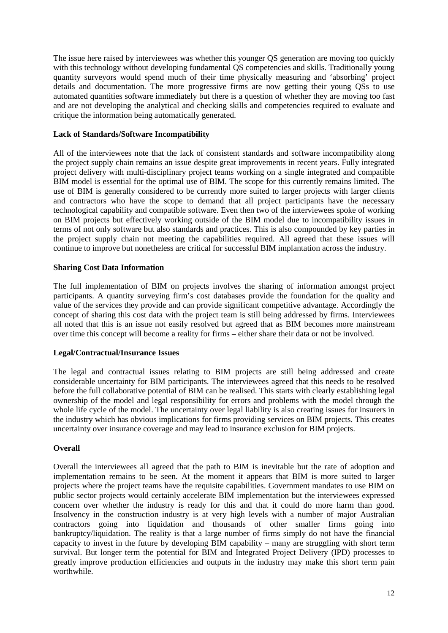The issue here raised by interviewees was whether this younger QS generation are moving too quickly with this technology without developing fundamental QS competencies and skills. Traditionally young quantity surveyors would spend much of their time physically measuring and 'absorbing' project details and documentation. The more progressive firms are now getting their young QSs to use automated quantities software immediately but there is a question of whether they are moving too fast and are not developing the analytical and checking skills and competencies required to evaluate and critique the information being automatically generated.

#### **Lack of Standards/Software Incompatibility**

All of the interviewees note that the lack of consistent standards and software incompatibility along the project supply chain remains an issue despite great improvements in recent years. Fully integrated project delivery with multi-disciplinary project teams working on a single integrated and compatible BIM model is essential for the optimal use of BIM. The scope for this currently remains limited. The use of BIM is generally considered to be currently more suited to larger projects with larger clients and contractors who have the scope to demand that all project participants have the necessary technological capability and compatible software. Even then two of the interviewees spoke of working on BIM projects but effectively working outside of the BIM model due to incompatibility issues in terms of not only software but also standards and practices. This is also compounded by key parties in the project supply chain not meeting the capabilities required. All agreed that these issues will continue to improve but nonetheless are critical for successful BIM implantation across the industry.

#### **Sharing Cost Data Information**

The full implementation of BIM on projects involves the sharing of information amongst project participants. A quantity surveying firm's cost databases provide the foundation for the quality and value of the services they provide and can provide significant competitive advantage. Accordingly the concept of sharing this cost data with the project team is still being addressed by firms. Interviewees all noted that this is an issue not easily resolved but agreed that as BIM becomes more mainstream over time this concept will become a reality for firms – either share their data or not be involved.

#### **Legal/Contractual/Insurance Issues**

The legal and contractual issues relating to BIM projects are still being addressed and create considerable uncertainty for BIM participants. The interviewees agreed that this needs to be resolved before the full collaborative potential of BIM can be realised. This starts with clearly establishing legal ownership of the model and legal responsibility for errors and problems with the model through the whole life cycle of the model. The uncertainty over legal liability is also creating issues for insurers in the industry which has obvious implications for firms providing services on BIM projects. This creates uncertainty over insurance coverage and may lead to insurance exclusion for BIM projects.

### **Overall**

Overall the interviewees all agreed that the path to BIM is inevitable but the rate of adoption and implementation remains to be seen. At the moment it appears that BIM is more suited to larger projects where the project teams have the requisite capabilities. Government mandates to use BIM on public sector projects would certainly accelerate BIM implementation but the interviewees expressed concern over whether the industry is ready for this and that it could do more harm than good. Insolvency in the construction industry is at very high levels with a number of major Australian contractors going into liquidation and thousands of other smaller firms going into bankruptcy/liquidation. The reality is that a large number of firms simply do not have the financial capacity to invest in the future by developing BIM capability – many are struggling with short term survival. But longer term the potential for BIM and Integrated Project Delivery (IPD) processes to greatly improve production efficiencies and outputs in the industry may make this short term pain worthwhile.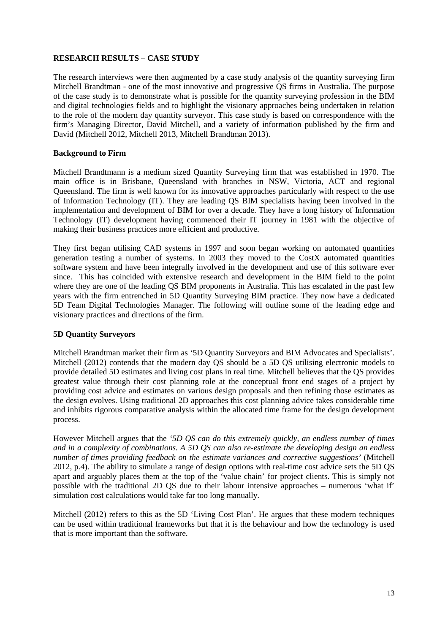### **RESEARCH RESULTS – CASE STUDY**

The research interviews were then augmented by a case study analysis of the quantity surveying firm Mitchell Brandtman - one of the most innovative and progressive QS firms in Australia. The purpose of the case study is to demonstrate what is possible for the quantity surveying profession in the BIM and digital technologies fields and to highlight the visionary approaches being undertaken in relation to the role of the modern day quantity surveyor. This case study is based on correspondence with the firm's Managing Director, David Mitchell, and a variety of information published by the firm and David (Mitchell 2012, Mitchell 2013, Mitchell Brandtman 2013).

### **Background to Firm**

Mitchell Brandtmann is a medium sized Quantity Surveying firm that was established in 1970. The main office is in Brisbane, Queensland with branches in NSW, Victoria, ACT and regional Queensland. The firm is well known for its innovative approaches particularly with respect to the use of Information Technology (IT). They are leading QS BIM specialists having been involved in the implementation and development of BIM for over a decade. They have a long history of Information Technology (IT) development having commenced their IT journey in 1981 with the objective of making their business practices more efficient and productive.

They first began utilising CAD systems in 1997 and soon began working on automated quantities generation testing a number of systems. In 2003 they moved to the CostX automated quantities software system and have been integrally involved in the development and use of this software ever since. This has coincided with extensive research and development in the BIM field to the point where they are one of the leading OS BIM proponents in Australia. This has escalated in the past few years with the firm entrenched in 5D Quantity Surveying BIM practice. They now have a dedicated 5D Team Digital Technologies Manager. The following will outline some of the leading edge and visionary practices and directions of the firm.

#### **5D Quantity Surveyors**

Mitchell Brandtman market their firm as '5D Quantity Surveyors and BIM Advocates and Specialists'. Mitchell (2012) contends that the modern day QS should be a 5D QS utilising electronic models to provide detailed 5D estimates and living cost plans in real time. Mitchell believes that the QS provides greatest value through their cost planning role at the conceptual front end stages of a project by providing cost advice and estimates on various design proposals and then refining those estimates as the design evolves. Using traditional 2D approaches this cost planning advice takes considerable time and inhibits rigorous comparative analysis within the allocated time frame for the design development process.

However Mitchell argues that the *'5D QS can do this extremely quickly, an endless number of times and in a complexity of combinations. A 5D QS can also re-estimate the developing design an endless number of times providing feedback on the estimate variances and corrective suggestions'* (Mitchell 2012, p.4). The ability to simulate a range of design options with real-time cost advice sets the 5D QS apart and arguably places them at the top of the 'value chain' for project clients. This is simply not possible with the traditional 2D QS due to their labour intensive approaches – numerous 'what if' simulation cost calculations would take far too long manually.

Mitchell (2012) refers to this as the 5D 'Living Cost Plan'. He argues that these modern techniques can be used within traditional frameworks but that it is the behaviour and how the technology is used that is more important than the software.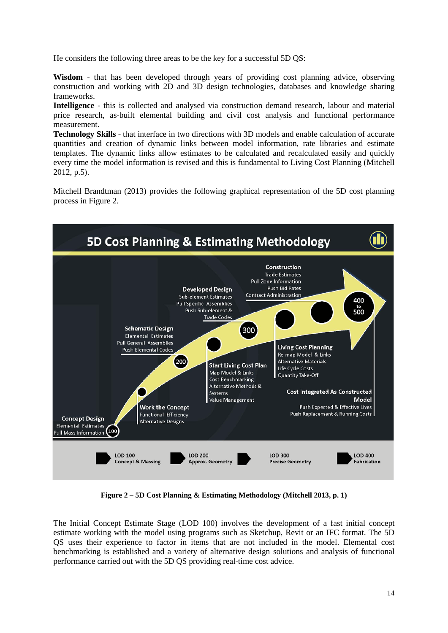He considers the following three areas to be the key for a successful 5D QS:

**Wisdom** - that has been developed through years of providing cost planning advice, observing construction and working with 2D and 3D design technologies, databases and knowledge sharing frameworks.

**Intelligence** - this is collected and analysed via construction demand research, labour and material price research, as-built elemental building and civil cost analysis and functional performance measurement.

**Technology Skills** - that interface in two directions with 3D models and enable calculation of accurate quantities and creation of dynamic links between model information, rate libraries and estimate templates. The dynamic links allow estimates to be calculated and recalculated easily and quickly every time the model information is revised and this is fundamental to Living Cost Planning (Mitchell 2012, p.5).

Mitchell Brandtman (2013) provides the following graphical representation of the 5D cost planning process in Figure 2.



**Figure 2 – 5D Cost Planning & Estimating Methodology (Mitchell 2013, p. 1)**

The Initial Concept Estimate Stage (LOD 100) involves the development of a fast initial concept estimate working with the model using programs such as Sketchup, Revit or an IFC format. The 5D QS uses their experience to factor in items that are not included in the model. Elemental cost benchmarking is established and a variety of alternative design solutions and analysis of functional performance carried out with the 5D QS providing real-time cost advice.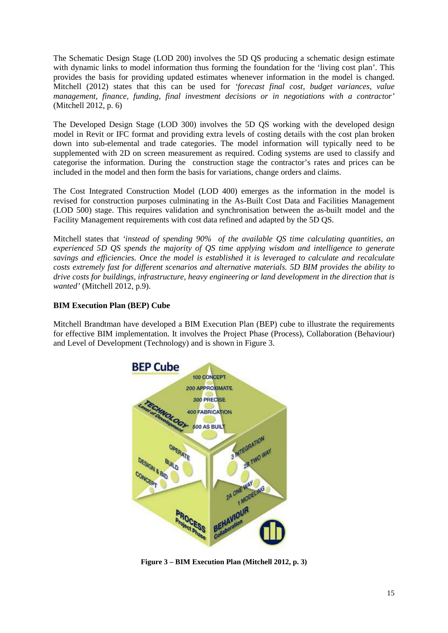The Schematic Design Stage (LOD 200) involves the 5D QS producing a schematic design estimate with dynamic links to model information thus forming the foundation for the 'living cost plan'. This provides the basis for providing updated estimates whenever information in the model is changed. Mitchell (2012) states that this can be used for *'forecast final cost, budget variances, value management, finance, funding, final investment decisions or in negotiations with a contractor'*  (Mitchell 2012, p. 6)

The Developed Design Stage (LOD 300) involves the 5D QS working with the developed design model in Revit or IFC format and providing extra levels of costing details with the cost plan broken down into sub-elemental and trade categories. The model information will typically need to be supplemented with 2D on screen measurement as required. Coding systems are used to classify and categorise the information. During the construction stage the contractor's rates and prices can be included in the model and then form the basis for variations, change orders and claims.

The Cost Integrated Construction Model (LOD 400) emerges as the information in the model is revised for construction purposes culminating in the As-Built Cost Data and Facilities Management (LOD 500) stage. This requires validation and synchronisation between the as-built model and the Facility Management requirements with cost data refined and adapted by the 5D QS.

Mitchell states that *'instead of spending 90% of the available QS time calculating quantities, an experienced 5D QS spends the majority of QS time applying wisdom and intelligence to generate savings and efficiencies. Once the model is established it is leveraged to calculate and recalculate costs extremely fast for different scenarios and alternative materials. 5D BIM provides the ability to drive costs for buildings, infrastructure, heavy engineering or land development in the direction that is wanted'* (Mitchell 2012, p.9).

### **BIM Execution Plan (BEP) Cube**

Mitchell Brandtman have developed a BIM Execution Plan (BEP) cube to illustrate the requirements for effective BIM implementation. It involves the Project Phase (Process), Collaboration (Behaviour) and Level of Development (Technology) and is shown in Figure 3.



**Figure 3 – BIM Execution Plan (Mitchell 2012, p. 3)**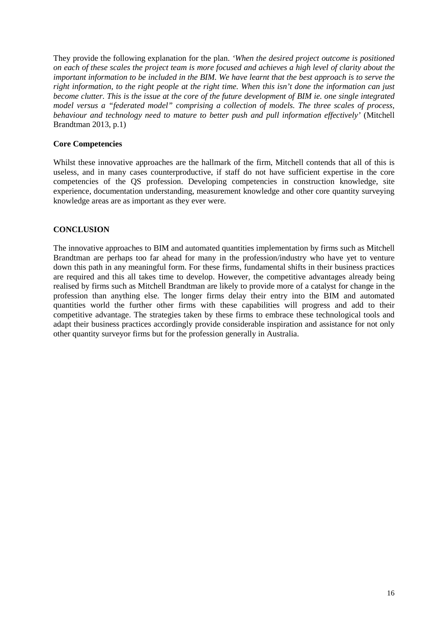They provide the following explanation for the plan. *'When the desired project outcome is positioned on each of these scales the project team is more focused and achieves a high level of clarity about the important information to be included in the BIM. We have learnt that the best approach is to serve the right information, to the right people at the right time. When this isn't done the information can just become clutter. This is the issue at the core of the future development of BIM ie. one single integrated model versus a "federated model" comprising a collection of models. The three scales of process, behaviour and technology need to mature to better push and pull information effectively'* (Mitchell Brandtman 2013, p.1)

### **Core Competencies**

Whilst these innovative approaches are the hallmark of the firm, Mitchell contends that all of this is useless, and in many cases counterproductive, if staff do not have sufficient expertise in the core competencies of the QS profession. Developing competencies in construction knowledge, site experience, documentation understanding, measurement knowledge and other core quantity surveying knowledge areas are as important as they ever were.

### **CONCLUSION**

The innovative approaches to BIM and automated quantities implementation by firms such as Mitchell Brandtman are perhaps too far ahead for many in the profession/industry who have yet to venture down this path in any meaningful form. For these firms, fundamental shifts in their business practices are required and this all takes time to develop. However, the competitive advantages already being realised by firms such as Mitchell Brandtman are likely to provide more of a catalyst for change in the profession than anything else. The longer firms delay their entry into the BIM and automated quantities world the further other firms with these capabilities will progress and add to their competitive advantage. The strategies taken by these firms to embrace these technological tools and adapt their business practices accordingly provide considerable inspiration and assistance for not only other quantity surveyor firms but for the profession generally in Australia.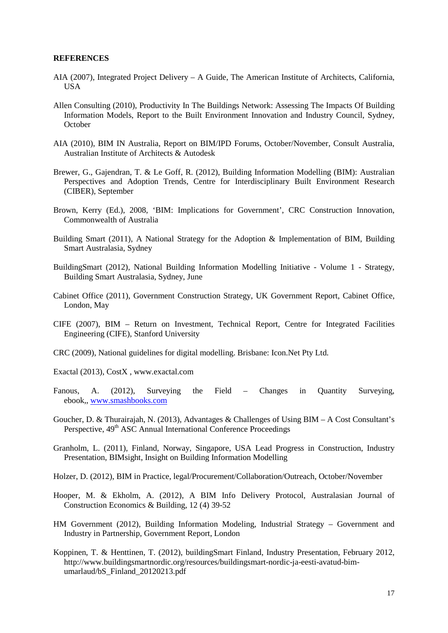#### **REFERENCES**

- AIA (2007), Integrated Project Delivery A Guide, The American Institute of Architects, California, USA
- Allen Consulting (2010), Productivity In The Buildings Network: Assessing The Impacts Of Building Information Models, Report to the Built Environment Innovation and Industry Council, Sydney, **October**
- AIA (2010), BIM IN Australia, Report on BIM/IPD Forums, October/November, Consult Australia, Australian Institute of Architects & Autodesk
- Brewer, G., Gajendran, T. & Le Goff, R. (2012), Building Information Modelling (BIM): Australian Perspectives and Adoption Trends, Centre for Interdisciplinary Built Environment Research (CIBER), September
- Brown, Kerry (Ed.), 2008, 'BIM: Implications for Government', CRC Construction Innovation, Commonwealth of Australia
- Building Smart (2011), A National Strategy for the Adoption & Implementation of BIM, Building Smart Australasia, Sydney
- BuildingSmart (2012), National Building Information Modelling Initiative Volume 1 Strategy, Building Smart Australasia, Sydney, June
- Cabinet Office (2011), Government Construction Strategy, UK Government Report, Cabinet Office, London, May
- CIFE (2007), BIM Return on Investment, Technical Report, Centre for Integrated Facilities Engineering (CIFE), Stanford University
- CRC (2009), National guidelines for digital modelling. Brisbane: Icon.Net Pty Ltd.
- Exactal (2013), CostX , www.exactal.com
- Fanous, A. (2012), Surveying the Field Changes in Quantity Surveying, ebook,, [www.smashbooks.com](http://www.smashbooks.com/)
- Goucher, D. & Thurairajah, N. (2013), Advantages & Challenges of Using BIM A Cost Consultant's Perspective, 49<sup>th</sup> ASC Annual International Conference Proceedings
- Granholm, L. (2011), Finland, Norway, Singapore, USA Lead Progress in Construction, Industry Presentation, BIMsight, Insight on Building Information Modelling
- Holzer, D. (2012), BIM in Practice, legal/Procurement/Collaboration/Outreach, October/November
- Hooper, M. & Ekholm, A. (2012), A BIM Info Delivery Protocol, Australasian Journal of Construction Economics & Building, 12 (4) 39-52
- HM Government (2012), Building Information Modeling, Industrial Strategy Government and Industry in Partnership, Government Report, London
- Koppinen, T. & Henttinen, T. (2012), buildingSmart Finland, Industry Presentation, February 2012, http://www.buildingsmartnordic.org/resources/buildingsmart-nordic-ja-eesti-avatud-bimumarlaud/bS\_Finland\_20120213.pdf